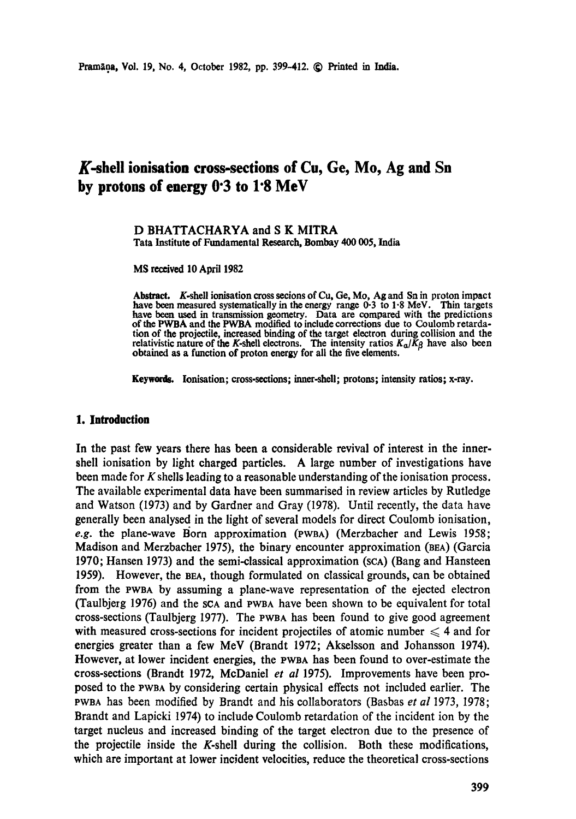# **K-shell ionisation cross-sections of Cu, Ge, Mo, Ag and Sn by protons of energy 0"3 to 1"8 MeV**

#### D BHATTACHARYA and S K MITRA **Tata Institute of Fundamental Research, Bombay 400 005,** India

**MS received 10 April 1982** 

**Abstract.** K.shell ionisation cross secions of Cu, Ge, Mo, Ag and Sn in proton impact have been measured systematically in the energy range 0-3 to 1.8 MeV. Thin targets have been used in transmission geometry. Data are compared with the predictions of the PWBA and the PWBA modified to include corrections due to Coulomb retardation of the projectile, increased binding of the target electron during collision **and the**  relativistic nature of the *K*-shell electrons. The intensity ratios  $K_{\alpha}/K_{\beta}$  have also been obtained as a function **of proton energy for** all the five elements.

**Keywords.** Ionisation; cross-sections; inner-shell; protons; intensity ratios; x-ray.

### **1. Introduction**

In the past few years there has been a considerable revival of interest in the inner. shell ionisation by light charged particles. A large number of investigations have been made for K shells leading to a reasonable understanding of the ionisation process. The available experimental data have been summarised in review articles by Rutledge and Watson (1973) and by Gardner and Gray (1978). Until recently, the data have generally been analysed in the light of several models for direct Coulomb ionisation, *e.g.* the plane-wave Born approximation (PWBA) (Merzbacher and Lewis 1958; Madison and Merzbacher 1975), the binary encounter approximation (BEA) (Garcia 1970; Hansen 1973) and the semi-classical approximation (seA) (Bang and Hansteen 1959). However, the BBA, though formulated on classical grounds, can be obtained from the FWBA by assuming a plane-wave representation of the ejected electron (Taulbjerg 1976) and the SeA and PWBA have been shown to be equivalent for total cross-sections (Taulbjerg 1977). The PWBA has been found to give good agreement with measured cross-sections for incident projectiles of atomic number  $\leq 4$  and for energies greater than a few MeV (Brandt 1972; Akselsson and Johansson 1974). However, at lower incident energies, the VWBA has been found to over-estimate the cross-sections (Brandt 1972, McDaniel *et al* 1975). Improvements have been proposed to the VWBA by considering certain physical effects not included earlier. The PWBA has been modified by Brandt and his collaborators (Basbas *et al* 1973, 1978; Brandt and Lapicki 1974) to include Coulomb retardation of the incident ion by the target nucleus and increased binding of the target electron due to the presence of the projectile inside the K-shell during the collision. Both these modifications, which are important at lower incident velocities, reduce the theoretical cross-sections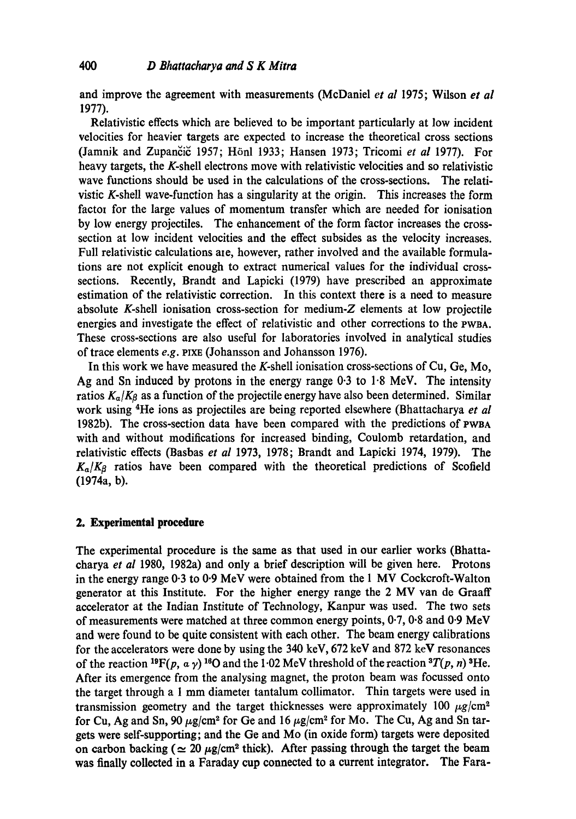and improve the agreement with measurements (McDaniel *et al* 1975; Wilson *et al*  1977).

Relativistic effects which are believed to be important particularly at low incident velocities for heavier targets are expected to increase the theoretical cross sections (Jamnik and Zupančič 1957; Hönl 1933; Hansen 1973; Tricomi et al 1977). For heavy targets, the K-shell electrons move with relativistic velocities and so relativistic wave functions should be used in the calculations of the cross-sections. The relativistic K-shell wave-function has a singularity at the origin. This increases the form factor for the large values of momentum transfer which are needed for ionisation by low energy projectiles. The enhancement of the form factor increases the crosssection at low incident velocities and the effect subsides as the velocity increases. Full relativistic calculations are, however, rather involved and the available formulations are not explicit enough to extract numerical values for the individual crosssections. Recently, Brandt and Lapicki (1979) have prescribed an approximate estimation of the relativistic correction. In this context there is a need to measure absolute K-shell ionisation cross-section for medium-Z elements at low projectile energies and investigate the effect of relativistic and other corrections to the PWBA. These cross-sections are also useful for laboratories involved in analytical studies of trace elements *e.g.* pIxE (Johansson and Johansson 1976).

In this work we have measured the K-shell ionisation cross-sections of Cu, Ge, Me, Ag and Sn induced by protons in the energy range 0.3 to 1.8 MeV. The intensity ratios  $K_{\alpha}/K_{\beta}$  as a function of the projectile energy have also been determined. Similar work using <sup>4</sup>He ions as projectiles are being reported elsewhere (Bhattacharya *et al* 1982b). The cross-section data have been compared with the predictions of PWBA with and without modifications for increased binding, Coulomb retardation, and relativistic effects (Basbas *et al* 1973, 1978; Brandt and Lapicki 1974, 1979). The  $K_a/K_f$  ratios have been compared with the theoretical predictions of Scofield (1974a, b).

## **2. Experimental procedure**

The experimental procedure is the same as that used in our earlier works (Bhattacharya *et al* 1980, 1982a) and only a brief description will be given here. Protons in the energy range  $0.3$  to  $0.9$  MeV were obtained from the 1 MV Cockcroft-Walton generator at this Institute. For the higher energy range the 2 MV van de Graaff accelerator at the Indian Institute of Technology, Kanpur was used. The two sets of measurements were matched at three common energy points, 0.7, 0.8 and 0.9 MeV and were found to be quite consistent with each other. The beam energy calibrations for the accelerators were done by using the 340 keV, 672 keV and 872 keV resonances of the reaction <sup>19</sup>F(p,  $\alpha \gamma$ )<sup>16</sup>O and the 1.02 MeV threshold of the reaction <sup>3</sup>T(p, n)<sup>3</sup>He. After its emergence from the analysing magnet, the proton beam was focussed onto the target through a 1 mm diameter tantalum collimator. Thin targets were used in transmission geometry and the target thicknesses were approximately 100  $\mu$ g/cm<sup>2</sup> for Cu, Ag and Sn, 90  $\mu$ g/cm<sup>2</sup> for Ge and 16  $\mu$ g/cm<sup>2</sup> for Mo. The Cu, Ag and Sn targets were self-supporting; and the Ge and Me (in oxide form) targets were deposited on carbon backing ( $\simeq 20~\mu$ g/cm<sup>2</sup> thick). After passing through the target the beam was finally collected in a Faraday cup connected to a current integrator. The Fara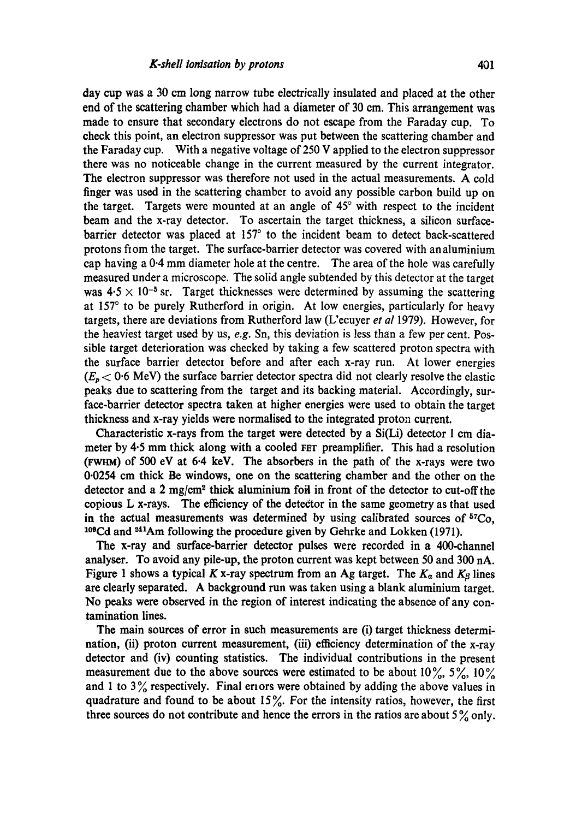day cup was a 30 cm long narrow tube electrically insulated and placed at the other end of the scattering chamber which had a diameter of 30 cm. This arrangement was made to ensure that secondary electrons do not escape from the Faraday cup. To check this point, an electron suppressor was put between the scattering chamber and the Faraday cup. With a negative voltage of 250 V applied to the electron suppressor there was no noticeable change in the current measured by the current integrator. The electron suppressor was therefore not used in the actual measurements. A cold finger was used in the scattering chamber to avoid any possible carbon build up on the target. Targets were mounted at an angle of  $45^{\circ}$  with respect to the incident beam and the x-ray detector. To ascertain the target thickness, a silicon surfacebarrier detector was placed at 157° to the incident beam to detect back-scattered protons fiom the target. The surface-barrier detector was covered with analuminium cap having a 0.4 mm diameter hole at the centre. The area of the hole was carefully measured under a microscope. The solid angle subtended by this detector at the target was  $4.5 \times 10^{-5}$  sr. Target thicknesses were determined by assuming the scattering at 157° to be purely Rutherford in origin. At low energies, particularly for heavy targets, there are deviations from Rutherford law (L'ecuyer *et al* 1979). However, for the heaviest target used by us, *e.g.* Sn, this deviation is less than a few per cent. Possible target deterioration was checked by taking a few scattered proton spectra with the surface barrier detector before and after each x-ray run. At lower energies  $(E_p < 0.6$  MeV) the surface barrier detector spectra did not clearly resolve the elastic peaks due to scattering from the target and its backing material. Accordingly, surface-barrier detector spectra taken at higher energies were used to obtain the target thickness and x-ray yields were normalised to the integrated proton current.

Characteristic x-rays from the target were detected by a Si(Li) detector 1 cm diameter by  $4.5$  mm thick along with a cooled FET preamplifier. This had a resolution (rWHM) of 500 eV at 6.4 keV. The absorbers in the path of the x-rays were two 0.0254 cm thick Be windows, one on the scattering chamber and the other on the detector and a  $2 \text{ mg/cm}^2$  thick aluminium foil in front of the detector to cut-off the copious L x-rays. The efficiency of the detector in the same geometry as that used in the actual measurements was determined by using calibrated sources of  $57C_0$ ,  $10<sup>9</sup>$ Cd and  $2<sup>41</sup>$ Am following the procedure given by Gehrke and Lokken (1971).

The x-ray and surface-barrier detector pulses were recorded in a 400-channel analyser. To avoid any pile-up, the proton current was kept between 50 and 300 nA. Figure 1 shows a typical K x-ray spectrum from an Ag target. The  $K_{\alpha}$  and  $K_{\beta}$  lines are dearly separated. A background run was taken using a blank aluminium target. No peaks were observed in the region of interest indicating the absence of any contamination lines.

The main sources of error in such measurements are (i) target thickness determination, (ii) proton current measurement, (iii) efficiency determination of the x-ray detector and (iv) counting statistics. The individual contributions in the present measurement due to the above sources were estimated to be about  $10\%$ ,  $5\%$ ,  $10\%$ and 1 to  $3\%$  respectively. Final errors were obtained by adding the above values in quadrature and found to be about  $15\%$ . For the intensity ratios, however, the first three sources do not contribute and hence the errors in the ratios are about  $5\%$  only.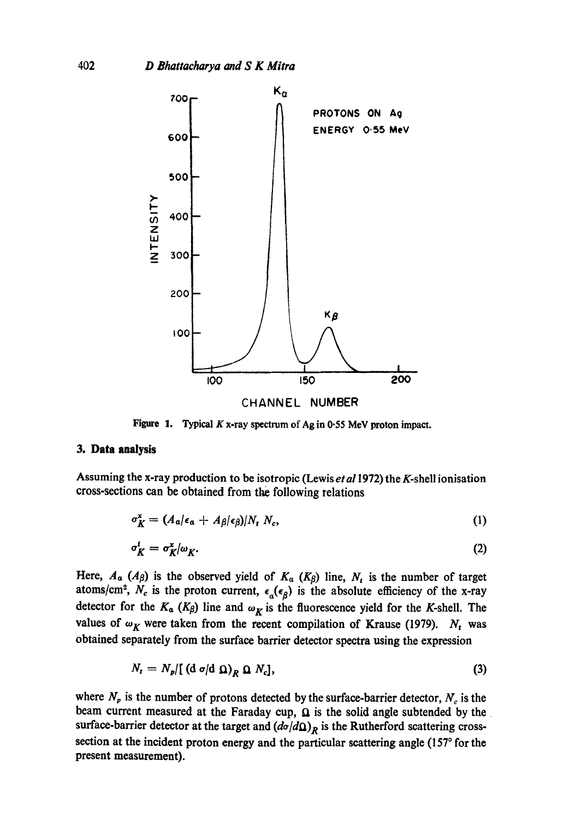

Figure 1. Typical K x-ray spectrum of Ag in 0.55 MeV proton impact.

## **3. Data analysis**

Assuming the x-ray production to be isotropic (Lewis *et al* 1972) the K-shell ionisation cross-sections can be obtained from the following relations

$$
\sigma_K^{\mathbf{x}} = (A_{\alpha}|\epsilon_{\alpha} + A_{\beta}|\epsilon_{\beta})/N_t N_c, \qquad (1)
$$

$$
\sigma_K^t = \sigma_K^x / \omega_K. \tag{2}
$$

Here,  $A_{\alpha}$  ( $A_{\beta}$ ) is the observed yield of  $K_{\alpha}$  ( $K_{\beta}$ ) line,  $N_t$  is the number of target atoms/cm<sup>2</sup>, N<sub>c</sub> is the proton current,  $\epsilon_a(\epsilon_\beta)$  is the absolute efficiency of the x-ray detector for the  $K_{\alpha}$  ( $K_{\beta}$ ) line and  $\omega_K$  is the fluorescence yield for the K-shell. The values of  $\omega_K$  were taken from the recent compilation of Krause (1979).  $N_t$  was obtained separately from the surface barrier detector spectra using the expression

$$
N_t = N_p / [(d \sigma/d \Omega)_R \Omega N_c], \qquad (3)
$$

where  $N_p$  is the number of protons detected by the surface-barrier detector,  $N_c$  is the beam current measured at the Faraday cup,  $\Omega$  is the solid angle subtended by the surface-barrier detector at the target and  $(d\sigma/d\Omega)_R$  is the Rutherford scattering crosssection at the incident proton energy and the particular scattering angle (157° for the present measurement).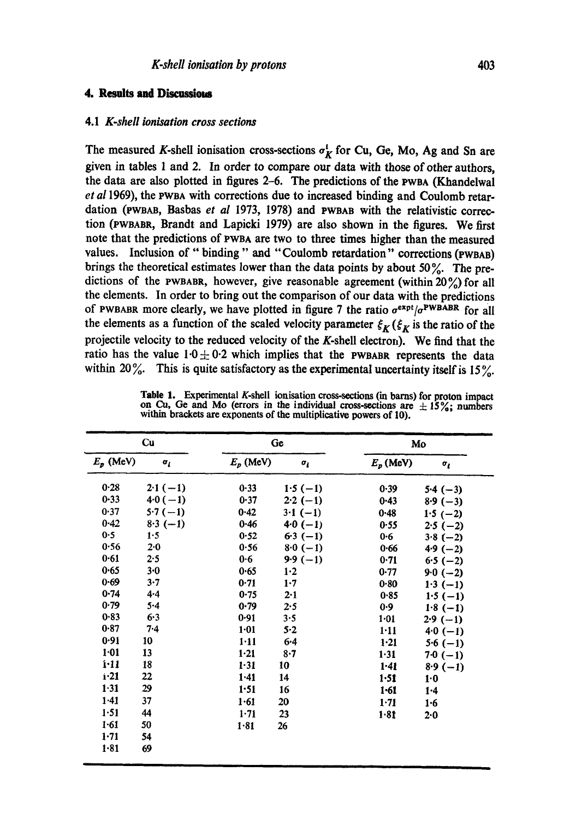#### **4. Results nd Discessiem**

#### 4.1 *K.shell ionisation cross sections*

The measured K-shell ionisation cross-sections  $\sigma_K^i$  for Cu, Ge, Mo, Ag and Sn are given in tables 1 and 2. In order to compare our data with those of other authors, the data are also plotted in figures 2-6. The predictions of the PWeA (Khandelwal *et a11969),* the PWBA with corrections due to increased binding and Coulomb retardation (PWBAB, Basbas *et al* 1973, 1978) and PWBAB with the relativistic correction (PWBABR, Brandt and Lapicki 1979) are also shown in the figures. We first note that the predictions of PWBA are two to three times higher than the measured values. Inclusion of "binding" and "Coulomb retardation" corrections (PWBAB) brings the theoretical estimates lower than the data points by about 50%. The predictions of the PWBABR, however, give reasonable agreement (within  $20\%$ ) for all the elements. In order to bring out the comparison of our data with the predictions of PWBABR more clearly, we have plotted in figure 7 the ratio  $\sigma^{expt}/\sigma^{PWBAB}$  for all the elements as a function of the scaled velocity parameter  $\xi_K$  ( $\xi_K$  is the ratio of the projectile velocity to the reduced velocity of the K-shell electron). We find that the ratio has the value  $1.0 \pm 0.2$  which implies that the PWBABR represents the data within 20%. This is quite satisfactory as the experimental uncertainty itself is 15%.

| Cu                      |              | Ge          |            | Mo          |              |
|-------------------------|--------------|-------------|------------|-------------|--------------|
| $E_p$ (MeV)             | $\sigma_{I}$ | $E_p$ (MeV) | $\sigma_i$ | $E_p$ (MeV) | $\sigma_{i}$ |
| 0.28                    | $2.1(-1)$    | 0.33        | $1.5(-1)$  | 0.39        | $5.4(-3)$    |
| $0 - 33$                | $40(-1)$     | 0.37        | $2.2(-1)$  | $0 - 43$    | $8.9(-3)$    |
| 0.37                    | $5.7(-1)$    | 0.42        | $3.1(-1)$  | $0 - 48$    | $1.5(-2)$    |
| 0.42                    | $8.3(-1)$    | 0.46        | $4.0(-1)$  | 0.55        | $2.5(-2)$    |
| 0.5                     | 1.5          | 0.52        | $6.3(-1)$  | $0 - 6$     | $3.8(-2)$    |
| 0.56                    | 2.0          | 0.56        | $8.0(-1)$  | 0.66        | $4.9(-2)$    |
| $0 - 61$                | 2.5          | 0.6         | $9.9(-1)$  | 0.71        | $6.5(-2)$    |
| 0.65                    | $3-0$        | 0.65        | $1-2$      | 0.77        | $9.0 (-2)$   |
| 0.69                    | 3.7          | 0.71        | $1 - 7$    | 0.80        | $1.3(-1)$    |
| 0.74                    | $4 - 4$      | 0.75        | 2.1        | 0.85        | $1.5(-1)$    |
| 0.79                    | $5 - 4$      | 0.79        | 2.5        | 0.9         | $1.8(-1)$    |
| 0.83                    | 6.3          | 0.91        | 3.5        | $1 - 01$    | $2.9(-1)$    |
| 0.87                    | 7.4          | $1 - 01$    | $5-2$      | 1.11        | $40(-1)$     |
| 0.91                    | 10           | $1 - 11$    | $6 - 4$    | $1-21$      | $5.6(-1)$    |
| 1:01                    | 13           | $1-21$      | $8 - 7$    | 1.31        | $7.0 (-1)$   |
| 1:11                    | 18           | 1.31        | 10         | $1 - 41$    | $8.9(-1)$    |
| $\mathbf{i}$ $\cdot$ 21 | 22           | 1.41        | 14         | 1.51        | $1-0$        |
| $1 - 31$                | 29           | 1:51        | 16         | $1-61$      | $1-4$        |
| 1.41                    | 37           | $1 - 61$    | 20         | $1 - 71$    | $1 - 6$      |
| 1.51                    | 44           | $1-71$      | 23         | 1.81        | 2.0          |
| $1 - 61$                | 50           | $1 - 81$    | 26         |             |              |
| $1 - 71$                | 54           |             |            |             |              |
| 1.81                    | 69           |             |            |             |              |

**Table** 1. Experimental K-shell ionisation cross-sections (in barns) for proton impact on Cu, Ge and Mo (errors in the individual cross-sections are  $\pm 15\%$ ; numbers within brackets are exponents of the multiplicative powers of 10).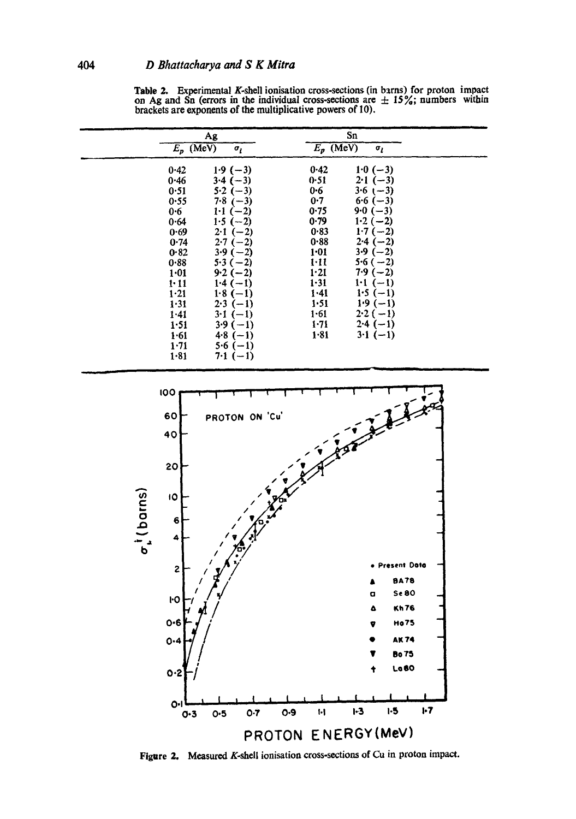|                                                                                                                                                             | Ag<br>$E_p$ (MeV)<br>$\sigma_i$                                                                                                                                                                                                                     |                                                                                                                                                | Sn<br>$E_p$ (MeV)<br>$\sigma_{I}$                                                                                                                                                                                          |  |
|-------------------------------------------------------------------------------------------------------------------------------------------------------------|-----------------------------------------------------------------------------------------------------------------------------------------------------------------------------------------------------------------------------------------------------|------------------------------------------------------------------------------------------------------------------------------------------------|----------------------------------------------------------------------------------------------------------------------------------------------------------------------------------------------------------------------------|--|
| 0.42<br>0.46<br>0.51<br>0.55<br>$0 - 6$<br>0.64<br>0.69<br>0.74<br>0.82<br>0.88<br>$1 - 01$<br>1.11<br>1.21<br>1.31<br>1.41<br>1.51<br>1.61<br>1.71<br>1.81 | $1.9(-3)$<br>$3.4(-3)$<br>$5.2(-3)$<br>$7.8(-3)$<br>$1-1(-2)$<br>$1.5(-2)$<br>$2.1(-2)$<br>$2.7(-2)$<br>$3.9(-2)$<br>$5.3(-2)$<br>$9.2(-2)$<br>$1.4(-1)$<br>$1.8(-1)$<br>$2.3(-1)$<br>$3-1(-1)$<br>$3.9(-1)$<br>$4.8(-1)$<br>$5.6(-1)$<br>$7.1(-1)$ | 0.42<br>0.51<br>0.6<br>0.7<br>0.75<br>0.79<br>0.83<br>0.88<br>1.01<br>1.11<br>1.21<br>1.31<br>$1 - 41$<br>1.51<br>$1 - 61$<br>1.71<br>$1 - 81$ | $1.0(-3)$<br>$2-1(-3)$<br>$3.6$ (-3)<br>$6.6(-3)$<br>$9.0(-3)$<br>$1.2(-2)$<br>$1.7(-2)$<br>$2.4(-2)$<br>$3.9(-2)$<br>$5.6(-2)$<br>$7.9(-2)$<br>$1:1(-1)$<br>$1.5(-1)$<br>$1.9(-1)$<br>$2.2(-1)$<br>$2.4(-1)$<br>$3.1(-1)$ |  |

Table 2. Experimental K-shell ionisation cross-sections (in barns) for proton impact on Ag and Sn (errors in the individual cross-sections are  $\pm$  15%; numbers within brackets are exponents of the multiplicative powers of 10).



Figure 2. Measured K-shell ionisation cross-sections of Cu in proton impact.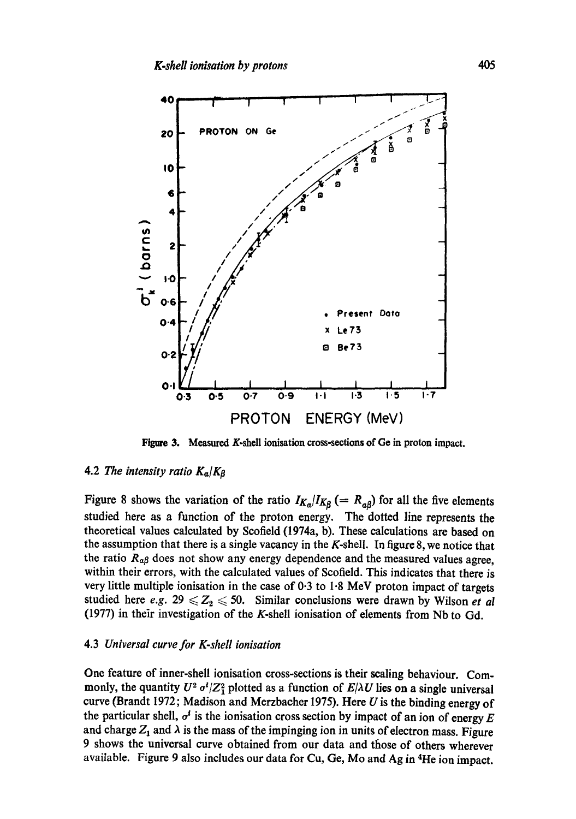

Figwe 3. Measured K-shell ionisation cross-sections of Ge in proton impact.

## 4.2 *The intensity ratio*  $K_{\alpha}/K_{\beta}$

Figure 8 shows the variation of the ratio  $I_{K_a}/I_{K_\beta} (= R_{a\beta})$  for all the five elements studied here as a function of the proton energy. The dotted line represents the theoretical values calculated by Scofield (1974a, b). These calculations are based on the assumption that there is a single vacancy in the K-shell. In figure 8, we notice that the ratio  $R_{\alpha\beta}$  does not show any energy dependence and the measured values agree, within their errors, with the calculated values of Scofield. This indicates that there is very little multiple ionisation in the case of 0.3 to 1.8 MeV proton impact of targets studied here *e.g.*  $29 \leq Z_2 \leq 50$ . Similar conclusions were drawn by Wilson *et al* (1977) in their investigation of the K-shell ionisation of elements from Nb to Gd.

#### 4.3 *Universal curve for K-shell ionisation*

One feature of inner-shell ionisation cross-sections is their scaling behaviour. Commonly, the quantity  $U^2 \sigma^i / Z_1^2$  plotted as a function of  $E/\lambda U$  lies on a single universal curve (Brandt 1972; Madison and Merzbacher 1975). Here  $U$  is the binding energy of the particular shell,  $\sigma^t$  is the ionisation cross section by impact of an ion of energy E and charge  $Z_1$  and  $\lambda$  is the mass of the impinging ion in units of electron mass. Figure 9 shows the universal curve obtained from our data and those of others wherever available. Figure 9 also includes our data for Cu, Ge, Mo and Ag in <sup>4</sup>He ion impact.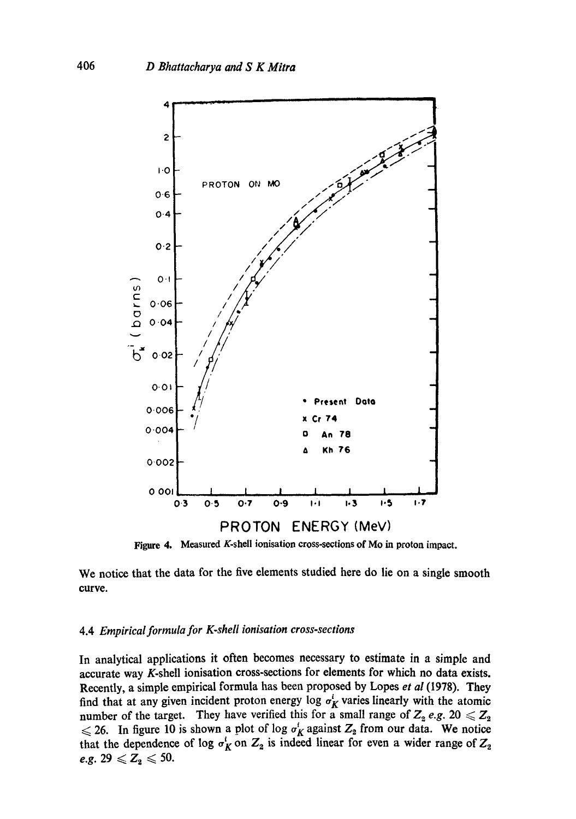

**Figure 4. Measured K-shell ionisation cross-sections of Mo in proton impact.** 

**We notice that the data for the five elements studied here do lie on a single smooth curve.** 

## **4.4** *Empirical formula for K-shell ionisation cross-sections*

**In analytical applications it often becomes necessary to estimate in a simple and accurate way K-shell ionisation cross-sections for elements for which no data exists. Recently, a simple empirical formula has been proposed by Lopes** *et al* **(1978). They**  find that at any given incident proton energy log  $\sigma_K^i$  varies linearly with the atomic **number of the target.** They have verified this for a small range of  $Z_2$  *e.g.* 20  $\leq Z_2$  $\leq 26$ . In figure 10 is shown a plot of log  $\sigma_K$  against  $Z_2$  from our data. We notice that the dependence of log  $\sigma_K$  on  $Z_2$  is indeed linear for even a wider range of  $Z_2$  $e.g. 29 \leqslant Z_2 \leqslant 50.$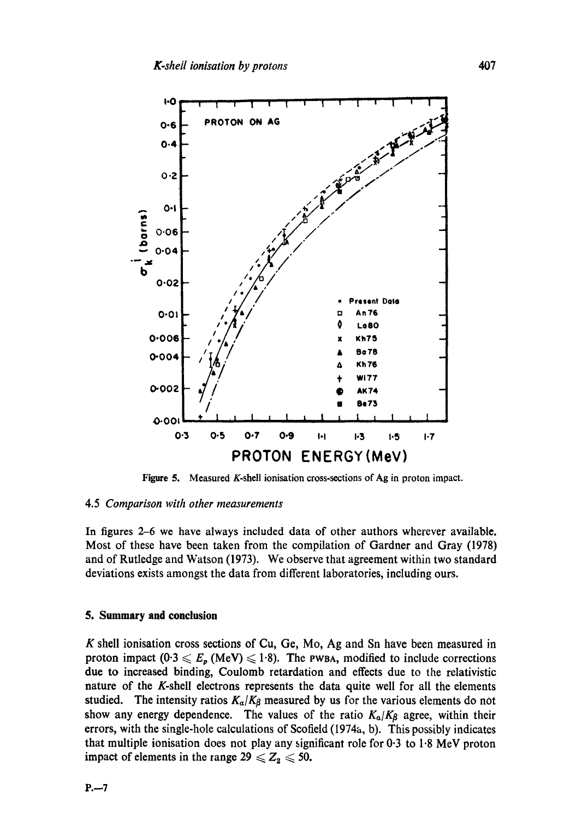

**Figure 5.**  Measured K-shell ionisation cross-sections of Ag in proton impact.

#### 4.5 *Comparison with other measurements*

In figures 2-6 we have always included data of other authors wherever available. Most of these have been taken from the compilation of Gardner and Gray (1978) and of Rutledge and Watson (1973). We observe that agreement within two standard deviations exists amongst the data from different laboratories, including ours.

#### **5. Summary and conclusion**

K shell ionisation cross sections of Cu, Ge, Mo, Ag and Sn have been measured in proton impact  $(0.3 \le E_p \text{ (MeV)} \le 1.8)$ . The PWBA, modified to include corrections due to increased binding, Coulomb retardation and effects due to the relativistic nature of the K-shell electrons represents the data quite well for all the elements studied. The intensity ratios  $K_{\alpha}/K_{\beta}$  measured by us for the various elements do not show any energy dependence. The values of the ratio  $K_{\alpha}/K_{\beta}$  agree, within their errors, with the single-hole calculations of Scofield (1974a, b). This possibly indicates that multiple ionisation does not play any significant role for 0.3 to 1.8 MeV proton impact of elements in the range  $29 \leq Z_2 \leq 50$ .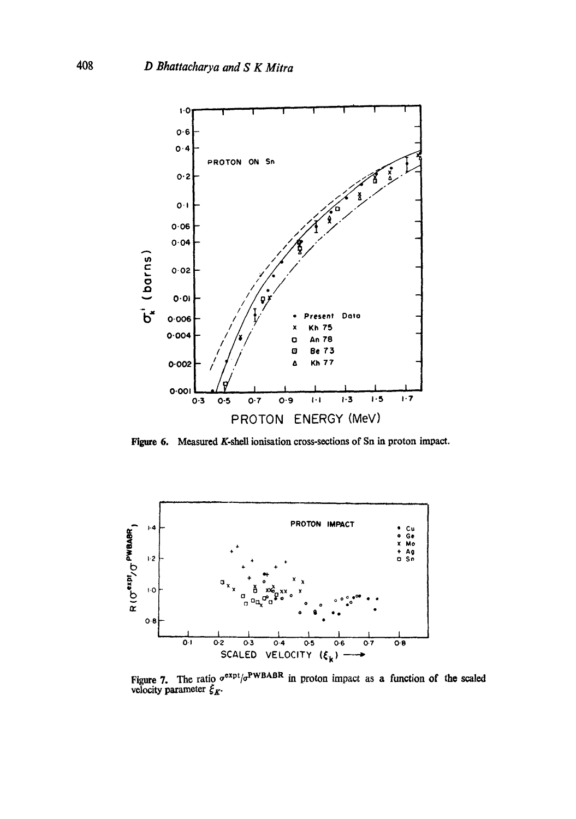![](_page_9_Figure_1.jpeg)

**Figure 6. Measured K-shell ionisation cross-sections of Sn in proton impact.** 

![](_page_9_Figure_3.jpeg)

Figure 7. The ratio  $\sigma^{\text{exp}/\sigma}$ <sup>NWBABN</sup> in proton impact as a function of the scaled velocity parameter  $\xi_{K}$ .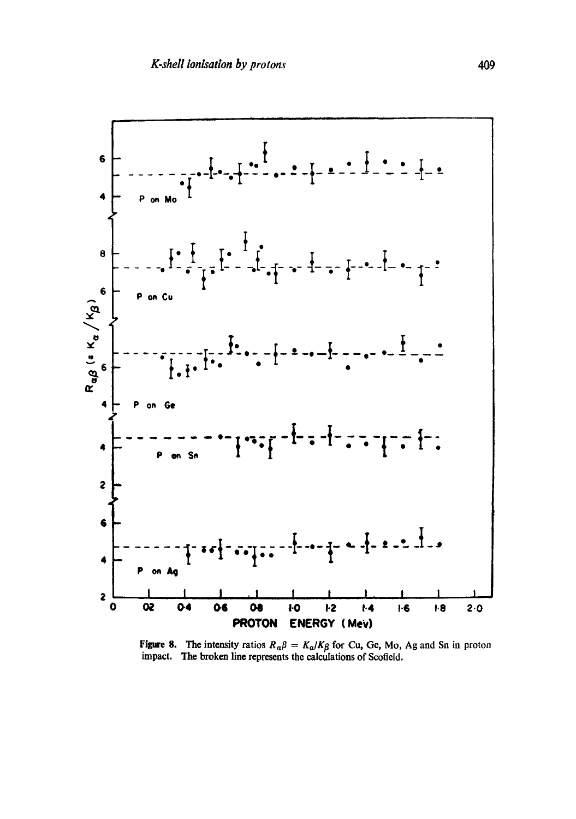![](_page_10_Figure_1.jpeg)

Figure 8. The intensity ratios  $R_{\alpha\beta} = K_{\alpha}/K_{\beta}$  for Cu, Ge, Mo, Ag and Sn in proton impact. The broken line represents the calculations of Scofield.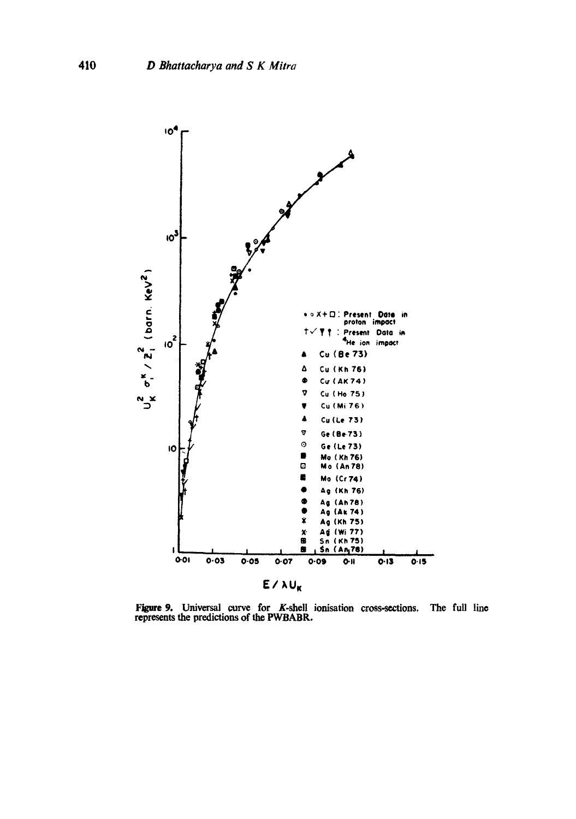![](_page_11_Figure_1.jpeg)

Figure 9. Universal curve for K.shell ionisation cross-sections. represents the predictions of the PWBABR. The full line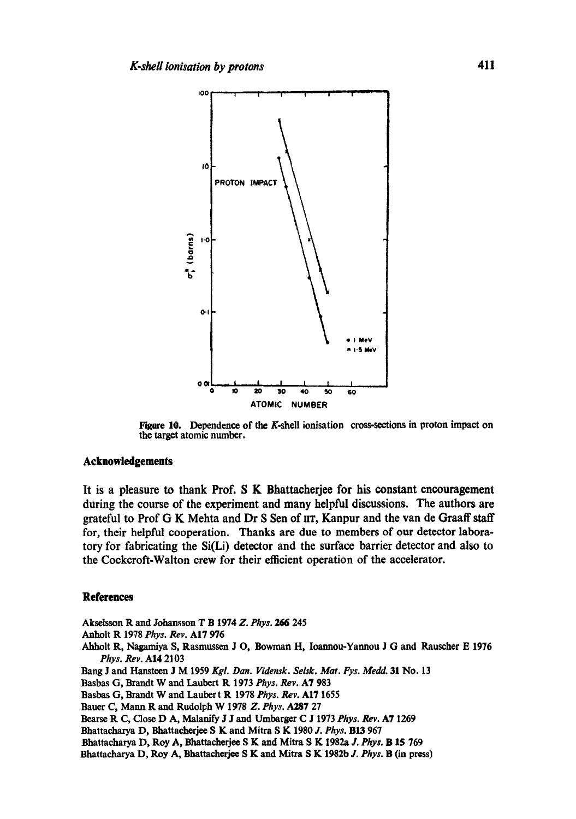![](_page_12_Figure_1.jpeg)

**Figure 10. Dependence of the K-shell ionisation cross-sections in proton impact on the target atomic number.** 

## **Acknowledgements**

**It is a pleasure to thank Prof. S K Bhattacherjee for his constant encouragement during the course of the experiment and many helpful discussions. The authors are grateful to Prof G K Mehta and Dr S Sen of nT, Kanpur and the van de Graaff staff for, their helpful cooperation. Thanks are due to members of our detector laboratory for fabricating the Si(Li) detector and the surface barrier detector and also to the Cockcroft-Walton crew for their efficient operation of the accelerator.** 

## **References**

**Aksetsson R and Johansson T B 1974** *Z. Phys. 266* **245 Anholt R 1978** *Phys. Rev.* **AI7 976**  Ahholt R, Nagamiya S, Rasmussen J O, Bowman H, Ioannou-Yannou J G and Rauscher E 1976 *Phys. Rev.* **AI4 2103 Bang J and Hanstcen J M 1959** *Kgl. Dan. Vidensk. Selsk. Mat. Fys. Medd.* **31 No. 13 Basbas G, Brandt W and Laubert R 1973** *Phys. Rev.* **A7 983 Basbas G, Brandt W and Lauber t R 1978** *Phys. Rev.* **AI7 1655 Bauer C, Mann R and Rudolph W 1978** *Z. Phys.* **A287 27 Bearse R C, Close D A, Malanify J J and Umbarger C J 1973** *Phys. Rev.* **A7 1269 Bhattacharya D, Bhattacherjee S K and Mitra S K 1980** *J. Phys.* **BI3 967 Bhattacharya D, Roy A, Bhattacherjee S K and Mitra S K 1982a J. Phys. <b>B 15** 769

**Bhattacharya D, Roy A, Bhattacherjee S K and Mitra S K 1982b J.** *Phys.* **B (in press)**